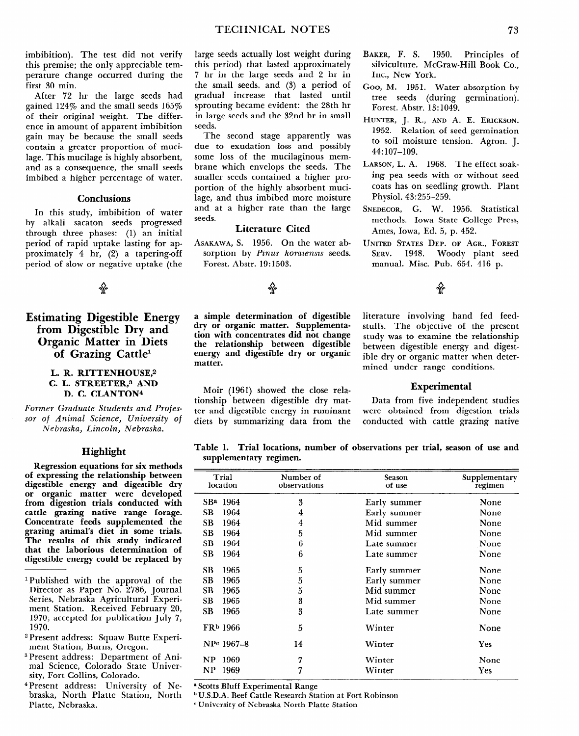**Estimating Digestible Energy from Digestible Dry and Organic Matter in Diets of Grazing Cattle1** 

## L. R. RITTENHOUSE.<sup>2</sup> **C. L. STREETER,s AND**  D. C. CLANTON<sup>4</sup>

*Former Graduate Students and Professor* **of** *Animal Science, University* **of**  *Nebraska, Lincoln, Nebraska.* 

# **Highlight**

**Regression equations for six methods of expressing the relationship between digestible energy and digestible dry or organic matter were developed from digestion trials conducted with cattle grazing native range forage. Concentrate feeds supplemented the grazing animal's diet in some trials. The results of this study indicated that the laborious determination of digestible energy could be replaced by** 

- **1 Published with the approval of the Director as Paper No. 2786, Journal Series, Nebraska Agricultural Experiment Station. Received February 20, 1970; accepted for publication July 7, 1970.**
- **2Present address: Squaw Butte Experiment Station, Burns, Oregon.**
- **3 Present address: Department of Animal Science, Colorado** State University, Fort Collins, Colorado.
- 4 Present address: University of Nebraska, North Platte Station, North Platte, Nebraska.

**a simple determination of digestible dry or organic matter. Supplementation with concentrates did not change the relationship between digestible energy and digestible dry or organic matter.** 

**Moir (1961) showed the close relationship between digestible dry matter and digestible energy in ruminant diets by summarizing data from the** 

literature involving hand fed feedstuffs. The objective of the present study was to examine the relationship between digestible energy and digestible dry or organic matter when determined under range conditions.

# **Experimental**

Data from five independent studies were obtained from digestion trials conducted with cattle grazing native

## **Table 1. Trial locations, number of observations per trial, season of use and supplementary regimen.**

|           | Trial<br>location    | Number of<br>observations | Season<br>of use | Supplementary<br>regimen |
|-----------|----------------------|---------------------------|------------------|--------------------------|
|           | SB <sup>a</sup> 1964 | 3                         | Early summer     | None                     |
| <b>SB</b> | 1964                 | 4                         | Early summer     | None                     |
| <b>SB</b> | 1964                 | 4                         | Mid summer       | None                     |
| SB.       | 1964                 | 5                         | Mid summer       | None                     |
| SB        | 1964                 | 6                         | Late summer      | None                     |
| <b>SB</b> | 1964                 | 6                         | Late summer      | None                     |
| <b>SB</b> | 1965                 | 5                         | Early summer     | None                     |
| SB        | 1965                 | 5                         | Early summer     | None                     |
| SВ        | 1965                 | 5                         | Mid summer       | None                     |
| SВ        | 1965                 | 3                         | Mid summer       | None                     |
| SB        | 1965                 | 3                         | Late summer      | None                     |
|           | FR <sup>b</sup> 1966 | 5                         | Winter           | None                     |
|           | NPc 1967-8           | 14                        | Winter           | Yes                      |
| NP        | 1969                 | 7                         | Winter           | None                     |
| NP        | 1969                 | 7                         | Winter           | Yes                      |

**\*** Scotts Bluff Experimental Range

b U.S.D.A. Beef Cattle Research Station at Fort Robinson

c University of Nebraska North Platte Station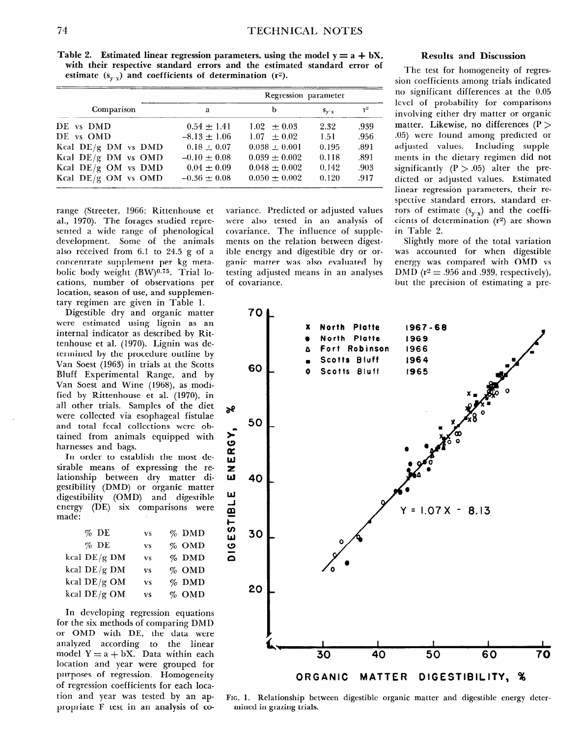**Table 2.** Estimated linear regression parameters, using the model  $y = a + bX$ , **with their respective standard errors and the estimated standard error of**  estimate  $(s_{y \rvert y})$  and coefficients of determination  $(r^2)$ .

|                       | Regression parameter |                   |                                   |       |  |
|-----------------------|----------------------|-------------------|-----------------------------------|-------|--|
| Comparison            | a                    | b                 | $S_{\mathbf{v} \cdot \mathbf{x}}$ | $r^2$ |  |
| DE vs DMD             | $0.54 \pm 1.41$      | $1.02 + 0.03$     | 2.32                              | .939  |  |
| DE vs OMD             | $-8.13 \pm 1.06$     | $1.07 + 0.02$     | 1.51                              | .956  |  |
| Kcal $DE/g$ DM vs DMD | $0.18 \pm 0.07$      | $0.038 \pm 0.001$ | 0.195                             | .891  |  |
| Kcal $DE/g$ DM vs OMD | $-0.10 + 0.08$       | $0.039 \pm 0.002$ | 0.118                             | .891  |  |
| Kcal $DE/g$ OM vs DMD | $0.04 \pm 0.09$      | $0.048 \pm 0.002$ | 0.142                             | .903  |  |
| Kcal $DE/g$ OM vs OMD | $-0.36 \pm 0.08$     | $0.050 \pm 0.002$ | 0.120                             | .917  |  |

range (Streeter, 1966; Rittenhouse et al., 1970). The forages studied represented a wide range of phenological development. Some of the animals also received from 6.1 to 24.5 g of a concentrate supplement per kg metabolic body weight (BW)<sup>0.75</sup>. Trial locations, number of observations per location, season of use, and supplementary regimen are given in Table 1.

Digestible dry and organic matter were estimated using lignin as an internal indicator as described by Rittenhouse et al. (1970). Lignin was determined by the procedure outline by Van Soest (1963) in trials at the Scotts Bluff Experimental Range, and by Van Soest and Wine (1968), as modified by Rittenhouse et al. (1970), in all other trials. Samples of the diet were collected via esophageal fistulae and total fecal collections were obtained from animals equipped with harnesses and bags.

In order to establish the most desirable means of expressing the relationship between dry matter digestibility (DMD) or organic matter digestibility (OMD) and digestible energy (DE) six comparisons were made:

| $%$ DE         | <b>VS</b> | $%$ DMD |
|----------------|-----------|---------|
| $%$ DE         | <b>VS</b> | % OMD   |
| kcal $DE/g$ DM | <b>vs</b> | % DMD   |
| kcal $DE/g$ DM | <b>VS</b> | $%$ OMD |
| kcal DE/g OM   | <b>vs</b> | $%$ DMD |
| kcal DE/g OM   | <b>VS</b> | $%$ OMD |

In developing regression equations for the six methods of comparing DMD or OMD with DE, the data were analyzed according to the linear model  $Y = a + bX$ . Data within each location and year were grouped for purposes of regression. Homogeneity of regression coefficients for each location and year was tested by an appropriate F test in an analysis of covariance. Predicted or adjusted values were also tested in an analysis of covariance. The influence of supplements on the relation between digestible energy and digestible dry or organic matter was also evaluated by testing adjusted means in an analyses of covariance.

### **Results and Discussion**

The test for homogeneity of regression coefficients among trials indicated no significant differences at the 0.05 level of probability for comparisons involving either dry matter or organic matter. Likewise, no differences  $(P >$ .05) were found among predicted or adjusted values. Including supplements in the dietary regimen did not significantly  $(P > .05)$  alter the predicted or adjusted values. Estimated linear regression parameters, their respective standard errors, standard errors of estimate  $(s_{y.x})$  and the coefficients of determination (r2) are shown in Table 2.

Slightly more of the total variation was accounted for when digestible energy was compared with OMD vs DMD ( $r^2 = .956$  and .939, respectively), but the precision of estimating a pre-



**FIG. 1. Relationship between digestible organic matter and digestible energy determined in grazing trials.**